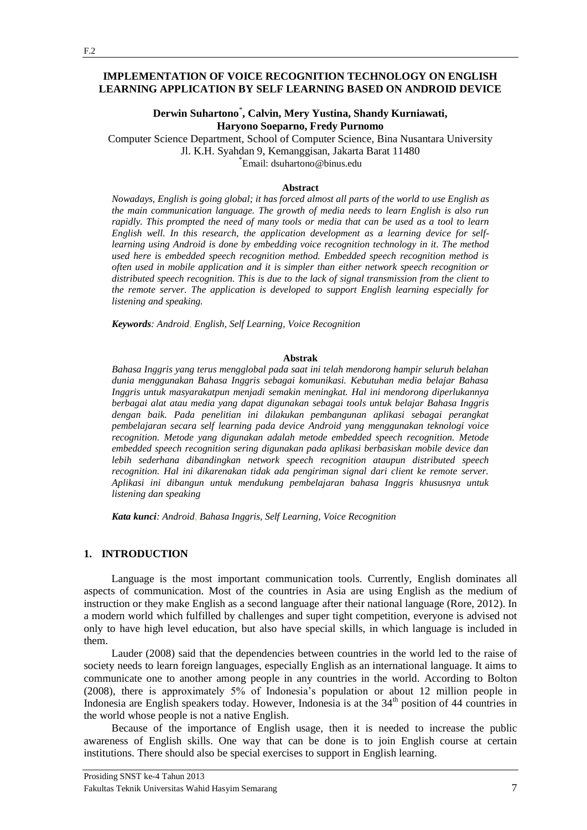### **IMPLEMENTATION OF VOICE RECOGNITION TECHNOLOGY ON ENGLISH LEARNING APPLICATION BY SELF LEARNING BASED ON ANDROID DEVICE**

## **Derwin Suhartono**\* **, Calvin, Mery Yustina, Shandy Kurniawati, Haryono Soeparno, Fredy Purnomo**

Computer Science Department, School of Computer Science, Bina Nusantara University Jl. K.H. Syahdan 9, Kemanggisan, Jakarta Barat 11480 \* Email: dsuhartono@binus.edu

#### **Abstract**

*Nowadays, English is going global; it has forced almost all parts of the world to use English as the main communication language. The growth of media needs to learn English is also run rapidly. This prompted the need of many tools or media that can be used as a tool to learn English well. In this research, the application development as a learning device for selflearning using Android is done by embedding voice recognition technology in it. The method used here is embedded speech recognition method. Embedded speech recognition method is often used in mobile application and it is simpler than either network speech recognition or distributed speech recognition. This is due to the lack of signal transmission from the client to the remote server. The application is developed to support English learning especially for listening and speaking.*

*Keywords: Android*, *English, Self Learning, Voice Recognition*

#### **Abstrak**

*Bahasa Inggris yang terus mengglobal pada saat ini telah mendorong hampir seluruh belahan dunia menggunakan Bahasa Inggris sebagai komunikasi. Kebutuhan media belajar Bahasa Inggris untuk masyarakatpun menjadi semakin meningkat. Hal ini mendorong diperlukannya berbagai alat atau media yang dapat digunakan sebagai tools untuk belajar Bahasa Inggris dengan baik. Pada penelitian ini dilakukan pembangunan aplikasi sebagai perangkat pembelajaran secara self learning pada device Android yang menggunakan teknologi voice recognition. Metode yang digunakan adalah metode embedded speech recognition. Metode embedded speech recognition sering digunakan pada aplikasi berbasiskan mobile device dan lebih sederhana dibandingkan network speech recognition ataupun distributed speech recognition. Hal ini dikarenakan tidak ada pengiriman signal dari client ke remote server. Aplikasi ini dibangun untuk mendukung pembelajaran bahasa Inggris khususnya untuk listening dan speaking*

*Kata kunci: Android*, *Bahasa Inggris, Self Learning, Voice Recognition*

#### **1. INTRODUCTION**

Language is the most important communication tools. Currently, English dominates all aspects of communication. Most of the countries in Asia are using English as the medium of instruction or they make English as a second language after their national language (Rore, 2012). In a modern world which fulfilled by challenges and super tight competition, everyone is advised not only to have high level education, but also have special skills, in which language is included in them.

Lauder (2008) said that the dependencies between countries in the world led to the raise of society needs to learn foreign languages, especially English as an international language. It aims to communicate one to another among people in any countries in the world. According to Bolton (2008), there is approximately 5% of Indonesia's population or about 12 million people in Indonesia are English speakers today. However, Indonesia is at the  $34<sup>th</sup>$  position of 44 countries in the world whose people is not a native English.

Because of the importance of English usage, then it is needed to increase the public awareness of English skills. One way that can be done is to join English course at certain institutions. There should also be special exercises to support in English learning.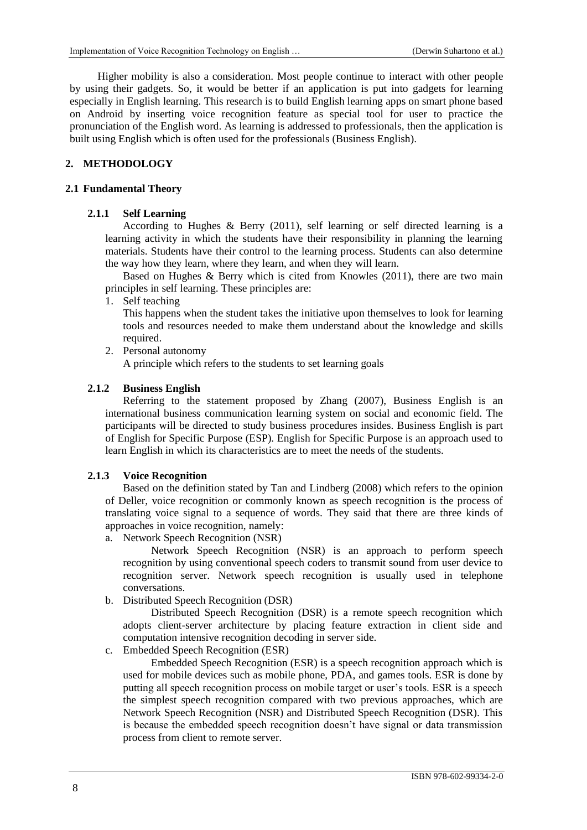Higher mobility is also a consideration. Most people continue to interact with other people by using their gadgets. So, it would be better if an application is put into gadgets for learning especially in English learning. This research is to build English learning apps on smart phone based on Android by inserting voice recognition feature as special tool for user to practice the pronunciation of the English word. As learning is addressed to professionals, then the application is built using English which is often used for the professionals (Business English).

# **2. METHODOLOGY**

### **2.1 Fundamental Theory**

## **2.1.1 Self Learning**

According to Hughes & Berry (2011), self learning or self directed learning is a learning activity in which the students have their responsibility in planning the learning materials. Students have their control to the learning process. Students can also determine the way how they learn, where they learn, and when they will learn.

Based on Hughes & Berry which is cited from Knowles (2011), there are two main principles in self learning. These principles are:

1. Self teaching

This happens when the student takes the initiative upon themselves to look for learning tools and resources needed to make them understand about the knowledge and skills required.

2. Personal autonomy

A principle which refers to the students to set learning goals

# **2.1.2 Business English**

Referring to the statement proposed by Zhang (2007), Business English is an international business communication learning system on social and economic field. The participants will be directed to study business procedures insides. Business English is part of English for Specific Purpose (ESP). English for Specific Purpose is an approach used to learn English in which its characteristics are to meet the needs of the students.

# **2.1.3 Voice Recognition**

Based on the definition stated by Tan and Lindberg (2008) which refers to the opinion of Deller, voice recognition or commonly known as speech recognition is the process of translating voice signal to a sequence of words. They said that there are three kinds of approaches in voice recognition, namely:

a. Network Speech Recognition (NSR)

Network Speech Recognition (NSR) is an approach to perform speech recognition by using conventional speech coders to transmit sound from user device to recognition server. Network speech recognition is usually used in telephone conversations.

b. Distributed Speech Recognition (DSR)

Distributed Speech Recognition (DSR) is a remote speech recognition which adopts client-server architecture by placing feature extraction in client side and computation intensive recognition decoding in server side.

c. Embedded Speech Recognition (ESR)

Embedded Speech Recognition (ESR) is a speech recognition approach which is used for mobile devices such as mobile phone, PDA, and games tools. ESR is done by putting all speech recognition process on mobile target or user's tools. ESR is a speech the simplest speech recognition compared with two previous approaches, which are Network Speech Recognition (NSR) and Distributed Speech Recognition (DSR). This is because the embedded speech recognition doesn't have signal or data transmission process from client to remote server.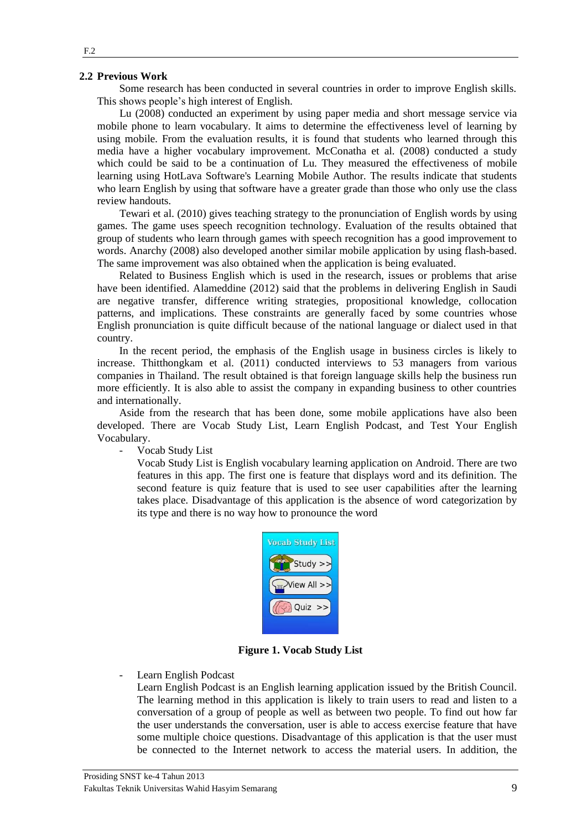#### **2.2 Previous Work**

Some research has been conducted in several countries in order to improve English skills. This shows people's high interest of English.

Lu (2008) conducted an experiment by using paper media and short message service via mobile phone to learn vocabulary. It aims to determine the effectiveness level of learning by using mobile. From the evaluation results, it is found that students who learned through this media have a higher vocabulary improvement. McConatha et al. (2008) conducted a study which could be said to be a continuation of Lu. They measured the effectiveness of mobile learning using HotLava Software's Learning Mobile Author. The results indicate that students who learn English by using that software have a greater grade than those who only use the class review handouts.

Tewari et al. (2010) gives teaching strategy to the pronunciation of English words by using games. The game uses speech recognition technology. Evaluation of the results obtained that group of students who learn through games with speech recognition has a good improvement to words. Anarchy (2008) also developed another similar mobile application by using flash-based. The same improvement was also obtained when the application is being evaluated.

Related to Business English which is used in the research, issues or problems that arise have been identified. Alameddine (2012) said that the problems in delivering English in Saudi are negative transfer, difference writing strategies, propositional knowledge, collocation patterns, and implications. These constraints are generally faced by some countries whose English pronunciation is quite difficult because of the national language or dialect used in that country.

In the recent period, the emphasis of the English usage in business circles is likely to increase. Thitthongkam et al. (2011) conducted interviews to 53 managers from various companies in Thailand. The result obtained is that foreign language skills help the business run more efficiently. It is also able to assist the company in expanding business to other countries and internationally.

Aside from the research that has been done, some mobile applications have also been developed. There are Vocab Study List, Learn English Podcast, and Test Your English Vocabulary.

Vocab Study List

Vocab Study List is English vocabulary learning application on Android. There are two features in this app. The first one is feature that displays word and its definition. The second feature is quiz feature that is used to see user capabilities after the learning takes place. Disadvantage of this application is the absence of word categorization by its type and there is no way how to pronounce the word



**Figure 1. Vocab Study List** 

Learn English Podcast

Learn English Podcast is an English learning application issued by the British Council. The learning method in this application is likely to train users to read and listen to a conversation of a group of people as well as between two people. To find out how far the user understands the conversation, user is able to access exercise feature that have some multiple choice questions. Disadvantage of this application is that the user must be connected to the Internet network to access the material users. In addition, the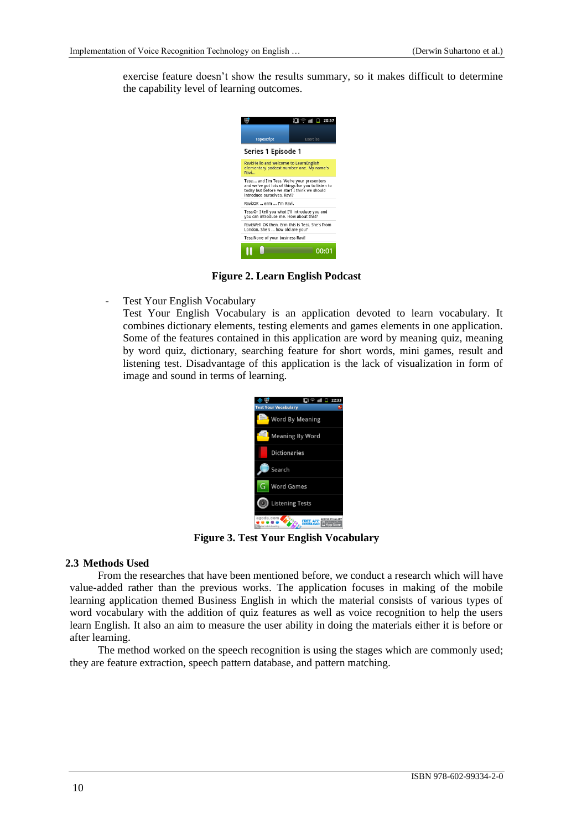exercise feature doesn't show the results summary, so it makes difficult to determine the capability level of learning outcomes.



**Figure 2. Learn English Podcast**

- Test Your English Vocabulary

Test Your English Vocabulary is an application devoted to learn vocabulary. It combines dictionary elements, testing elements and games elements in one application. Some of the features contained in this application are word by meaning quiz, meaning by word quiz, dictionary, searching feature for short words, mini games, result and listening test. Disadvantage of this application is the lack of visualization in form of image and sound in terms of learning.



**Figure 3. Test Your English Vocabulary**

# **2.3 Methods Used**

From the researches that have been mentioned before, we conduct a research which will have value-added rather than the previous works. The application focuses in making of the mobile learning application themed Business English in which the material consists of various types of word vocabulary with the addition of quiz features as well as voice recognition to help the users learn English. It also an aim to measure the user ability in doing the materials either it is before or after learning.

The method worked on the speech recognition is using the stages which are commonly used; they are feature extraction, speech pattern database, and pattern matching.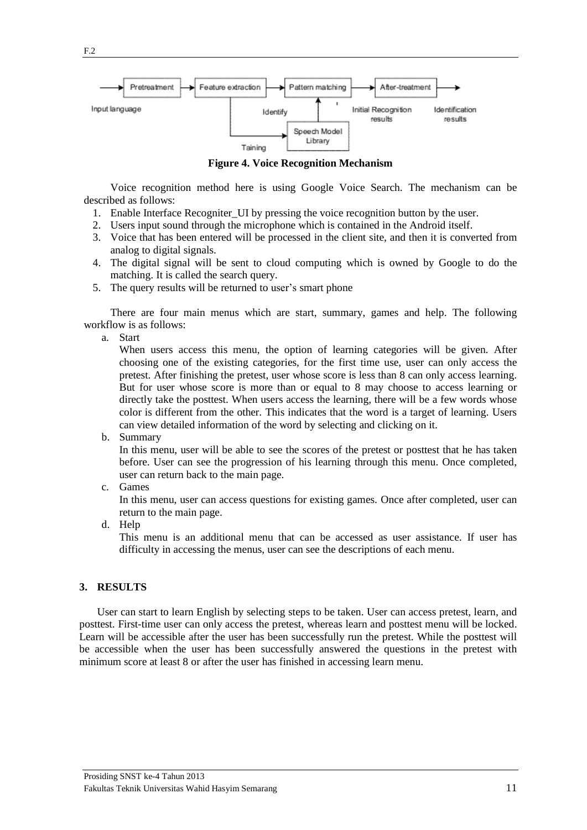

**Figure 4. Voice Recognition Mechanism**

Voice recognition method here is using Google Voice Search. The mechanism can be described as follows:

- 1. Enable Interface Recogniter\_UI by pressing the voice recognition button by the user.
- 2. Users input sound through the microphone which is contained in the Android itself.
- 3. Voice that has been entered will be processed in the client site, and then it is converted from analog to digital signals.
- 4. The digital signal will be sent to cloud computing which is owned by Google to do the matching. It is called the search query.
- 5. The query results will be returned to user's smart phone

There are four main menus which are start, summary, games and help. The following workflow is as follows:

a. Start

When users access this menu, the option of learning categories will be given. After choosing one of the existing categories, for the first time use, user can only access the pretest. After finishing the pretest, user whose score is less than 8 can only access learning. But for user whose score is more than or equal to 8 may choose to access learning or directly take the posttest. When users access the learning, there will be a few words whose color is different from the other. This indicates that the word is a target of learning. Users can view detailed information of the word by selecting and clicking on it.

b. Summary

In this menu, user will be able to see the scores of the pretest or posttest that he has taken before. User can see the progression of his learning through this menu. Once completed, user can return back to the main page.

c. Games

In this menu, user can access questions for existing games. Once after completed, user can return to the main page.

d. Help

This menu is an additional menu that can be accessed as user assistance. If user has difficulty in accessing the menus, user can see the descriptions of each menu.

### **3. RESULTS**

User can start to learn English by selecting steps to be taken. User can access pretest, learn, and posttest. First-time user can only access the pretest, whereas learn and posttest menu will be locked. Learn will be accessible after the user has been successfully run the pretest. While the posttest will be accessible when the user has been successfully answered the questions in the pretest with minimum score at least 8 or after the user has finished in accessing learn menu.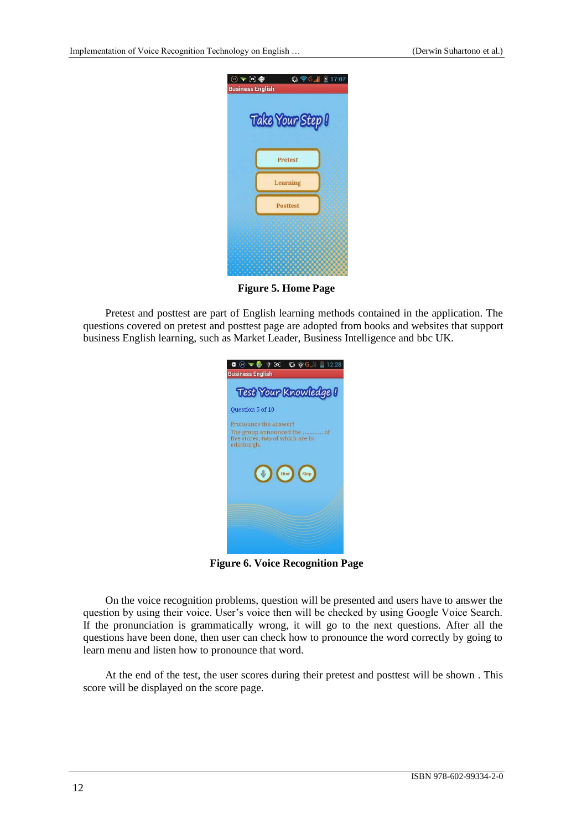

**Figure 5. Home Page**

Pretest and posttest are part of English learning methods contained in the application. The questions covered on pretest and posttest page are adopted from books and websites that support business English learning, such as Market Leader, Business Intelligence and bbc UK*.*



**Figure 6. Voice Recognition Page**

On the voice recognition problems, question will be presented and users have to answer the question by using their voice. User's voice then will be checked by using Google Voice Search. If the pronunciation is grammatically wrong, it will go to the next questions. After all the questions have been done, then user can check how to pronounce the word correctly by going to learn menu and listen how to pronounce that word.

At the end of the test, the user scores during their pretest and posttest will be shown . This score will be displayed on the score page.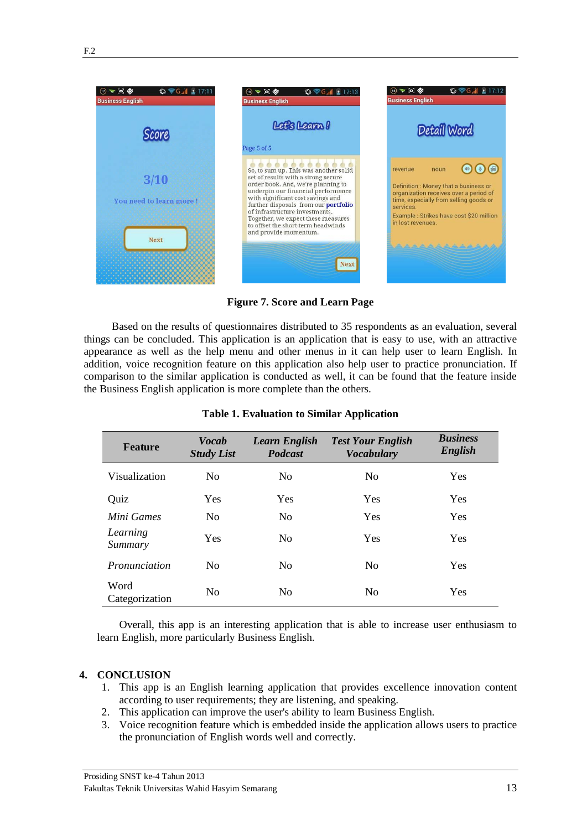

**Figure 7. Score and Learn Page**

Based on the results of questionnaires distributed to 35 respondents as an evaluation, several things can be concluded. This application is an application that is easy to use, with an attractive appearance as well as the help menu and other menus in it can help user to learn English. In addition, voice recognition feature on this application also help user to practice pronunciation. If comparison to the similar application is conducted as well, it can be found that the feature inside the Business English application is more complete than the others.

| <b>Feature</b>         | <b>Vocab</b><br><b>Study List</b> | <b>Learn English</b><br><b>Podcast</b> | <b>Test Your English</b><br><b>Vocabulary</b> | <b>Business</b><br>English |
|------------------------|-----------------------------------|----------------------------------------|-----------------------------------------------|----------------------------|
| Visualization          | N <sub>0</sub>                    | N <sub>0</sub>                         | No                                            | Yes                        |
| Quiz                   | Yes                               | Yes                                    | Yes                                           | Yes                        |
| Mini Games             | N <sub>0</sub>                    | N <sub>0</sub>                         | Yes                                           | Yes                        |
| Learning<br>Summary    | Yes                               | N <sub>0</sub>                         | Yes                                           | Yes                        |
| Pronunciation          | N <sub>0</sub>                    | N <sub>0</sub>                         | N <sub>0</sub>                                | Yes                        |
| Word<br>Categorization | N <sub>0</sub>                    | N <sub>0</sub>                         | N <sub>0</sub>                                | Yes                        |

### **Table 1. Evaluation to Similar Application**

Overall, this app is an interesting application that is able to increase user enthusiasm to learn English, more particularly Business English.

# **4. CONCLUSION**

- 1. This app is an English learning application that provides excellence innovation content according to user requirements; they are listening, and speaking.
- 2. This application can improve the user's ability to learn Business English.
- 3. Voice recognition feature which is embedded inside the application allows users to practice the pronunciation of English words well and correctly.